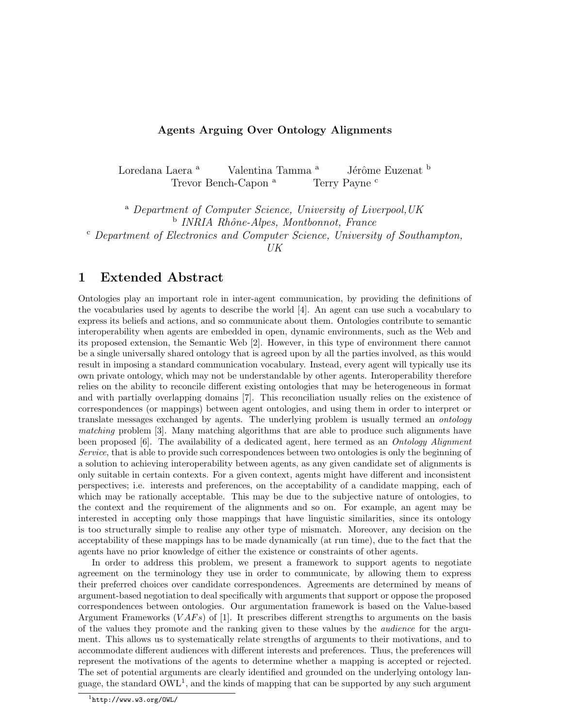## Agents Arguing Over Ontology Alignments

Loredana Laera <sup>a</sup> Valentina Tamma <sup>a Jérôme Euzenat <sup>b</sup></sup> Trevor Bench-Capon<sup>a</sup> Terry Payne <sup>c</sup>

<sup>a</sup> Department of Computer Science, University of Liverpool,UK <sup>b</sup> INRIA Rhône-Alpes, Montbonnot, France

<sup>c</sup> Department of Electronics and Computer Science, University of Southampton,

UK

## 1 Extended Abstract

Ontologies play an important role in inter-agent communication, by providing the definitions of the vocabularies used by agents to describe the world [4]. An agent can use such a vocabulary to express its beliefs and actions, and so communicate about them. Ontologies contribute to semantic interoperability when agents are embedded in open, dynamic environments, such as the Web and its proposed extension, the Semantic Web [2]. However, in this type of environment there cannot be a single universally shared ontology that is agreed upon by all the parties involved, as this would result in imposing a standard communication vocabulary. Instead, every agent will typically use its own private ontology, which may not be understandable by other agents. Interoperability therefore relies on the ability to reconcile different existing ontologies that may be heterogeneous in format and with partially overlapping domains [7]. This reconciliation usually relies on the existence of correspondences (or mappings) between agent ontologies, and using them in order to interpret or translate messages exchanged by agents. The underlying problem is usually termed an ontology matching problem [3]. Many matching algorithms that are able to produce such alignments have been proposed [6]. The availability of a dedicated agent, here termed as an Ontology Alignment Service, that is able to provide such correspondences between two ontologies is only the beginning of a solution to achieving interoperability between agents, as any given candidate set of alignments is only suitable in certain contexts. For a given context, agents might have different and inconsistent perspectives; i.e. interests and preferences, on the acceptability of a candidate mapping, each of which may be rationally acceptable. This may be due to the subjective nature of ontologies, to the context and the requirement of the alignments and so on. For example, an agent may be interested in accepting only those mappings that have linguistic similarities, since its ontology is too structurally simple to realise any other type of mismatch. Moreover, any decision on the acceptability of these mappings has to be made dynamically (at run time), due to the fact that the agents have no prior knowledge of either the existence or constraints of other agents.

In order to address this problem, we present a framework to support agents to negotiate agreement on the terminology they use in order to communicate, by allowing them to express their preferred choices over candidate correspondences. Agreements are determined by means of argument-based negotiation to deal specifically with arguments that support or oppose the proposed correspondences between ontologies. Our argumentation framework is based on the Value-based Argument Frameworks ( $VAFs$ ) of [1]. It prescribes different strengths to arguments on the basis of the values they promote and the ranking given to these values by the audience for the argument. This allows us to systematically relate strengths of arguments to their motivations, and to accommodate different audiences with different interests and preferences. Thus, the preferences will represent the motivations of the agents to determine whether a mapping is accepted or rejected. The set of potential arguments are clearly identified and grounded on the underlying ontology language, the standard OWL<sup>1</sup> , and the kinds of mapping that can be supported by any such argument

<sup>1</sup>http://www.w3.org/OWL/